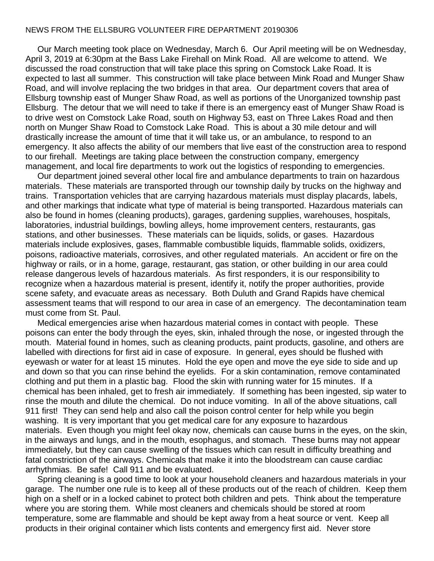## NEWS FROM THE ELLSBURG VOLUNTEER FIRE DEPARTMENT 20190306

 Our March meeting took place on Wednesday, March 6. Our April meeting will be on Wednesday, April 3, 2019 at 6:30pm at the Bass Lake Firehall on Mink Road. All are welcome to attend. We discussed the road construction that will take place this spring on Comstock Lake Road. It is expected to last all summer. This construction will take place between Mink Road and Munger Shaw Road, and will involve replacing the two bridges in that area. Our department covers that area of Ellsburg township east of Munger Shaw Road, as well as portions of the Unorganized township past Ellsburg. The detour that we will need to take if there is an emergency east of Munger Shaw Road is to drive west on Comstock Lake Road, south on Highway 53, east on Three Lakes Road and then north on Munger Shaw Road to Comstock Lake Road. This is about a 30 mile detour and will drastically increase the amount of time that it will take us, or an ambulance, to respond to an emergency. It also affects the ability of our members that live east of the construction area to respond to our firehall. Meetings are taking place between the construction company, emergency management, and local fire departments to work out the logistics of responding to emergencies.

 Our department joined several other local fire and ambulance departments to train on hazardous materials. These materials are transported through our township daily by trucks on the highway and trains. Transportation vehicles that are carrying hazardous materials must display placards, labels, and other markings that indicate what type of material is being transported. Hazardous materials can also be found in homes (cleaning products), garages, gardening supplies, warehouses, hospitals, laboratories, industrial buildings, bowling alleys, home improvement centers, restaurants, gas stations, and other businesses. These materials can be liquids, solids, or gases. Hazardous materials include explosives, gases, flammable combustible liquids, flammable solids, oxidizers, poisons, radioactive materials, corrosives, and other regulated materials. An accident or fire on the highway or rails, or in a home, garage, restaurant, gas station, or other building in our area could release dangerous levels of hazardous materials. As first responders, it is our responsibility to recognize when a hazardous material is present, identify it, notify the proper authorities, provide scene safety, and evacuate areas as necessary. Both Duluth and Grand Rapids have chemical assessment teams that will respond to our area in case of an emergency. The decontamination team must come from St. Paul.

 Medical emergencies arise when hazardous material comes in contact with people. These poisons can enter the body through the eyes, skin, inhaled through the nose, or ingested through the mouth. Material found in homes, such as cleaning products, paint products, gasoline, and others are labelled with directions for first aid in case of exposure. In general, eyes should be flushed with eyewash or water for at least 15 minutes. Hold the eye open and move the eye side to side and up and down so that you can rinse behind the eyelids. For a skin contamination, remove contaminated clothing and put them in a plastic bag. Flood the skin with running water for 15 minutes. If a chemical has been inhaled, get to fresh air immediately. If something has been ingested, sip water to rinse the mouth and dilute the chemical. Do not induce vomiting. In all of the above situations, call 911 first! They can send help and also call the poison control center for help while you begin washing. It is very important that you get medical care for any exposure to hazardous materials. Even though you might feel okay now, chemicals can cause burns in the eyes, on the skin, in the airways and lungs, and in the mouth, esophagus, and stomach. These burns may not appear immediately, but they can cause swelling of the tissues which can result in difficulty breathing and fatal constriction of the airways. Chemicals that make it into the bloodstream can cause cardiac arrhythmias. Be safe! Call 911 and be evaluated.

 Spring cleaning is a good time to look at your household cleaners and hazardous materials in your garage. The number one rule is to keep all of these products out of the reach of children. Keep them high on a shelf or in a locked cabinet to protect both children and pets. Think about the temperature where you are storing them. While most cleaners and chemicals should be stored at room temperature, some are flammable and should be kept away from a heat source or vent. Keep all products in their original container which lists contents and emergency first aid. Never store